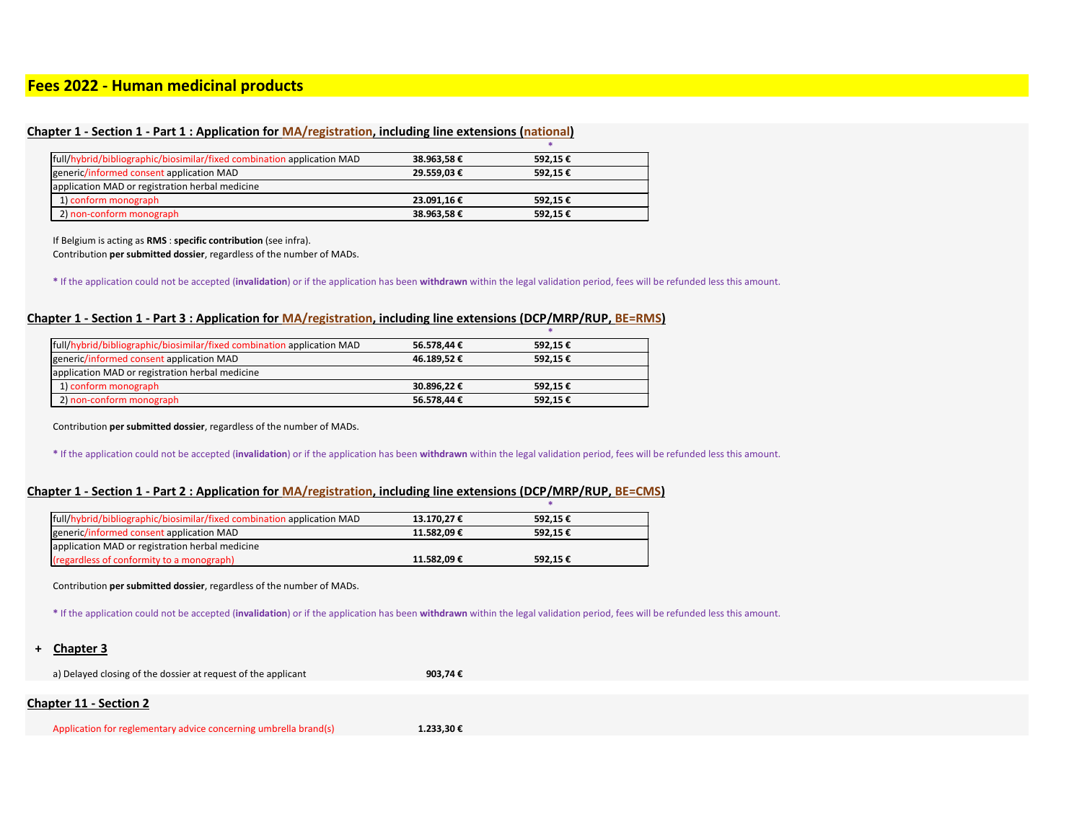# **Fees 2022 - Human medicinal products**

# **Chapter 1 - Section 1 - Part 1 : Application for MA/registration, including line extensions (national)**

| 38.963,58 € | 592,15€ |  |
|-------------|---------|--|
| 29.559,03 € | 592,15€ |  |
|             |         |  |
| 23.091,16€  | 592,15€ |  |
| 38.963,58€  | 592,15€ |  |
|             |         |  |

If Belgium is acting as **RMS** : **specific contribution** (see infra).

Contribution **per submitted dossier**, regardless of the number of MADs.

**\*** If the application could not be accepted (**invalidation**) or if the application has been **withdrawn** within the legal validation period, fees will be refunded less this amount.

# **Chapter 1 - Section 1 - Part 3 : Application for MA/registration, including line extensions (DCP/MRP/RUP, BE=RMS)**

| full/hybrid/bibliographic/biosimilar/fixed combination application MAD | 56.578,44 € | 592,15€ |  |
|------------------------------------------------------------------------|-------------|---------|--|
| generic/informed consent application MAD                               | 46.189,52€  | 592,15€ |  |
| application MAD or registration herbal medicine                        |             |         |  |
| 1) conform monograph                                                   | 30.896.22€  | 592.15€ |  |
| 2) non-conform monograph                                               | 56.578,44 € | 592,15€ |  |

Contribution **per submitted dossier**, regardless of the number of MADs.

**\*** If the application could not be accepted (**invalidation**) or if the application has been **withdrawn** within the legal validation period, fees will be refunded less this amount.

### **Chapter 1 - Section 1 - Part 2 : Application for MA/registration, including line extensions (DCP/MRP/RUP, BE=CMS)**

Contribution **per submitted dossier**, regardless of the number of MADs.

**\*** If the application could not be accepted (**invalidation**) or if the application has been **withdrawn** within the legal validation period, fees will be refunded less this amount.

| full/hybrid/bibliographic/biosimilar/fixed combination application MAD | 13.170,27 € | 592.15€ |
|------------------------------------------------------------------------|-------------|---------|
| generic/informed consent application MAD                               | 11.582.09€  | 592.15€ |
| application MAD or registration herbal medicine                        |             |         |
| (regardless of conformity to a monograph)                              | 11.582.09€  | 592,15€ |

**+ Chapter 3**

a) Delayed closing of the dossier at request of the applicant **903,74 €**

# **Chapter 11 - Section 2**

Application for reglementary advice concerning umbrella brand(s) **1.233,30 €**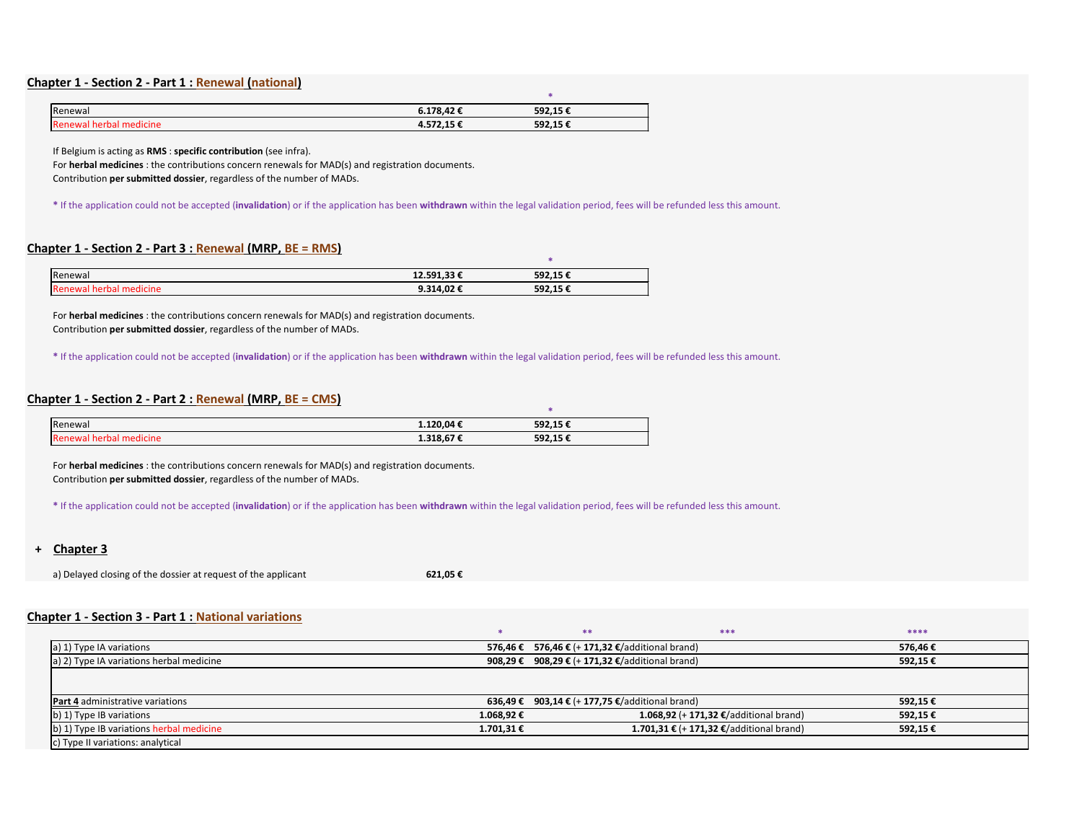#### **Chapter 1 - Section 2 - Part 1 : Renewal (national)**

| Renewal                  | 6.178,42€ | 592,15€ |  |
|--------------------------|-----------|---------|--|
| TRenewal herbal medicine | 4.572,15€ | 592,15€ |  |

If Belgium is acting as **RMS** : **specific contribution** (see infra).

For **herbal medicines** : the contributions concern renewals for MAD(s) and registration documents.

Contribution **per submitted dossier**, regardless of the number of MADs.

**\*** If the application could not be accepted (**invalidation**) or if the application has been **withdrawn** within the legal validation period, fees will be refunded less this amount.

# **Chapter 1 - Section 2 - Part 3 : Renewal (MRP, BE = RMS)**

| <b>IRenewal</b>         | 12.591,33 € | 592,15€ |
|-------------------------|-------------|---------|
| Renewal herbal medicine | 9.314,02 €  | 592,15€ |

For **herbal medicines** : the contributions concern renewals for MAD(s) and registration documents. Contribution **per submitted dossier**, regardless of the number of MADs.

**\*** If the application could not be accepted (**invalidation**) or if the application has been **withdrawn** within the legal validation period, fees will be refunded less this amount.

# **Chapter 1 - Section 2 - Part 2 : Renewal (MRP, BE = CMS)**

| Renewal                        | 1.120,04€ | 592,15€ |  |
|--------------------------------|-----------|---------|--|
| <b>Renewal herbal medicine</b> | 1.318,67€ | 592,15€ |  |

For **herbal medicines** : the contributions concern renewals for MAD(s) and registration documents. Contribution **per submitted dossier**, regardless of the number of MADs.

**\*** If the application could not be accepted (**invalidation**) or if the application has been **withdrawn** within the legal validation period, fees will be refunded less this amount.

**+ Chapter 3**

a) Delayed closing of the dossier at request of the applicant **621,05 €**

# **Chapter 1 - Section 3 - Part 1 : National variations**

|                                          |         |                                        | *** | ****    |
|------------------------------------------|---------|----------------------------------------|-----|---------|
| a) 1) Type IA variations                 | 576.46€ | 576,46 € (+ 171,32 €/additional brand) |     | 576,46€ |
| a) 2) Type IA variations herbal medicine | 908,29€ | 908,29 € (+ 171,32 €/additional brand) |     | 592,15€ |
|                                          |         |                                        |     |         |

| <b>Part 4</b> administrative variations  | 636,49 €   | 903,14 € (+ 177,75 €/additional brand)   | 592,15€ |
|------------------------------------------|------------|------------------------------------------|---------|
| b) 1) Type IB variations                 | 1.068,92 € | 1.068,92 (+ 171,32 €/additional brand)   | 592,15€ |
| b) 1) Type IB variations herbal medicine | 1.701,31 € | 1.701,31 € (+ 171,32 €/additional brand) | 592,15€ |
| c) Type II variations: analytical        |            |                                          |         |

| ****    |  |
|---------|--|
| 576,46€ |  |
| 592,15€ |  |
|         |  |
| 592,15€ |  |
| 592,15€ |  |
| 592,15€ |  |
|         |  |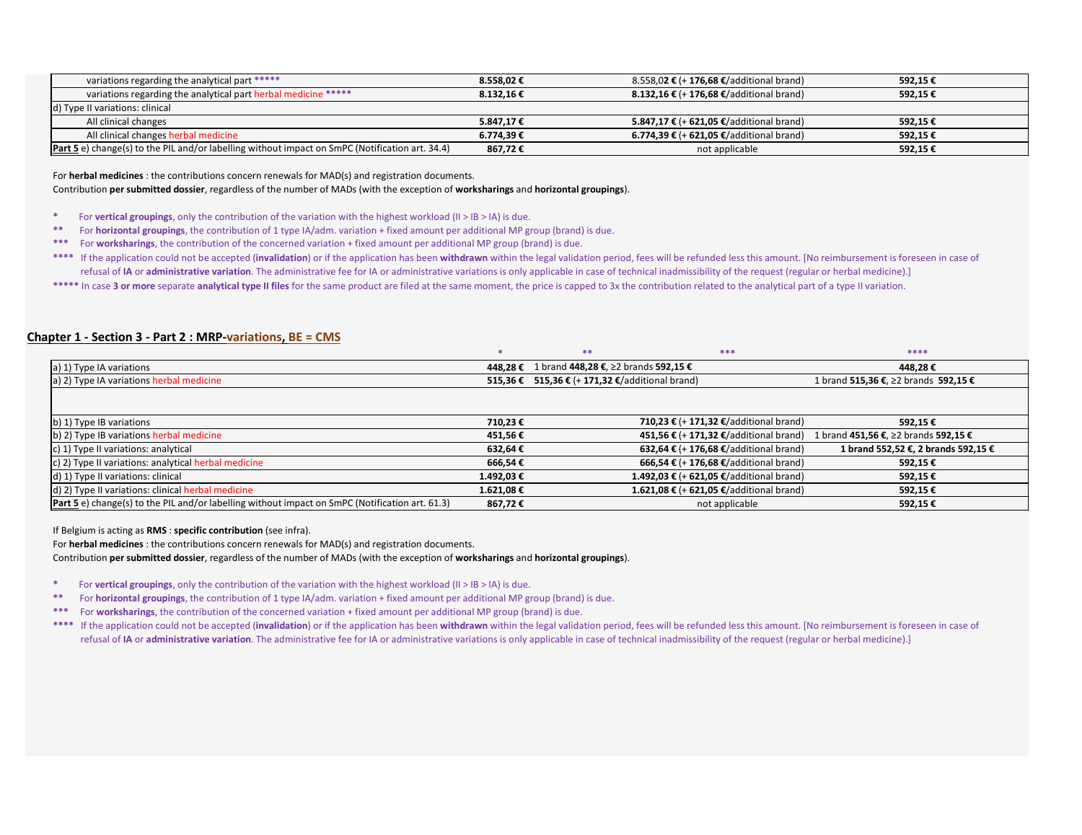| variations regarding the analytical part *****                                                         | $8.558.02 \in$ | 8.558,02 € (+ 176,68 €/additional brand)       | 592.15€  |  |
|--------------------------------------------------------------------------------------------------------|----------------|------------------------------------------------|----------|--|
| variations regarding the analytical part herbal medicine *****                                         | 8.132,16€      | <b>8.132,16 € (+176,68 €/additional brand)</b> | 592,15€  |  |
| d) Type II variations: clinical                                                                        |                |                                                |          |  |
| All clinical changes                                                                                   | 5.847.17 €     | 5.847,17 € (+ 621,05 €/additional brand)       | 592.15 € |  |
| All clinical changes herbal medicine                                                                   | 6.774,39€      | 6.774,39 € (+ 621,05 €/additional brand)       | 592,15€  |  |
| <b>Part 5</b> e) change(s) to the PIL and/or labelling without impact on SmPC (Notification art. 34.4) | 867,72€        | not applicable                                 | 592,15€  |  |

- **\*** For **vertical groupings**, only the contribution of the variation with the highest workload (II > IB > IA) is due.
- **\*\*** For **horizontal groupings**, the contribution of 1 type IA/adm. variation + fixed amount per additional MP group (brand) is due.
- **\*\*\*** For **worksharings**, the contribution of the concerned variation + fixed amount per additional MP group (brand) is due.
- \*\*\*\* If the application could not be accepted (invalidation) or if the application has been withdrawn within the legal validation period, fees will be refunded less this amount. [No reimbursement is foreseen in case of refusal of IA or administrative variation. The administrative fee for IA or administrative variations is only applicable in case of technical inadmissibility of the request (regular or herbal medicine).]
- \*\*\*\*\* In case 3 or more separate analytical type II files for the same product are filed at the same moment, the price is capped to 3x the contribution related to the analytical part of a type II variation.

For **herbal medicines** : the contributions concern renewals for MAD(s) and registration documents.

Contribution **per submitted dossier**, regardless of the number of MADs (with the exception of **worksharings** and **horizontal groupings**).

### **Chapter 1 - Section 3 - Part 2 : MRP-variations, BE = CMS**

|                                          |                                                 | ****                       |
|------------------------------------------|-------------------------------------------------|----------------------------|
| a) 1) Type IA variations                 | 448,28 € 1 brand 448,28 €, ≥2 brands 592,15 €   | 448,28                     |
| a) 2) Type IA variations herbal medicine | 515,36 € 515,36 € (+ 171,32 €/additional brand) | 1 brand 515,36 €, ≥2 brand |

| a) 1) Type IA variations                                                                               |                | 448,28 € 1 brand 448,28 €, ≥2 brands 592,15 €   | 448,28 €                             |
|--------------------------------------------------------------------------------------------------------|----------------|-------------------------------------------------|--------------------------------------|
| a) 2) Type IA variations herbal medicine                                                               |                | 515,36 € 515,36 € (+ 171,32 €/additional brand) | 1 brand 515,36 €, ≥2 brands 592,15 € |
|                                                                                                        |                |                                                 |                                      |
| b) 1) Type IB variations                                                                               | 710,23€        | 710,23 € (+ 171,32 €/additional brand)          | 592,15€                              |
| b) 2) Type IB variations herbal medicine                                                               | 451,56 €       | 451,56 € (+ 171,32 €/additional brand)          | 1 brand 451,56 €, ≥2 brands 592,15 € |
| c) 1) Type II variations: analytical                                                                   | 632,64€        | 632,64 € (+ 176,68 €/additional brand)          | 1 brand 552,52 €, 2 brands 592,15 €  |
| $\vert$ c) 2) Type II variations: analytical herbal medicine                                           | 666,54€        | 666,54 € (+ 176,68 €/additional brand)          | 592,15€                              |
| d) 1) Type II variations: clinical                                                                     | 1.492,03 €     | 1.492,03 € (+ 621,05 €/additional brand)        | 592,15 €                             |
| d) 2) Type II variations: clinical herbal medicine                                                     | $1.621,08 \in$ | 1.621,08 € (+ 621,05 €/additional brand)        | 592,15€                              |
| <b>Part 5</b> e) change(s) to the PIL and/or labelling without impact on SmPC (Notification art. 61.3) | 867,72€        | not applicable                                  | 592,15€                              |

If Belgium is acting as **RMS** : **specific contribution** (see infra).

For **herbal medicines** : the contributions concern renewals for MAD(s) and registration documents.

Contribution **per submitted dossier**, regardless of the number of MADs (with the exception of **worksharings** and **horizontal groupings**).

**\*** For **vertical groupings**, only the contribution of the variation with the highest workload (II > IB > IA) is due.

**\*\*** For **horizontal groupings**, the contribution of 1 type IA/adm. variation + fixed amount per additional MP group (brand) is due.

**\*\*\*** For **worksharings**, the contribution of the concerned variation + fixed amount per additional MP group (brand) is due.

\*\*\* If the application could not be accepted (invalidation) or if the application has been withdrawn within the legal validation period, fees will be refunded less this amount. [No reimbursement is foreseen in case of refusal of IA or administrative variation. The administrative fee for IA or administrative variations is only applicable in case of technical inadmissibility of the request (regular or herbal medicine).]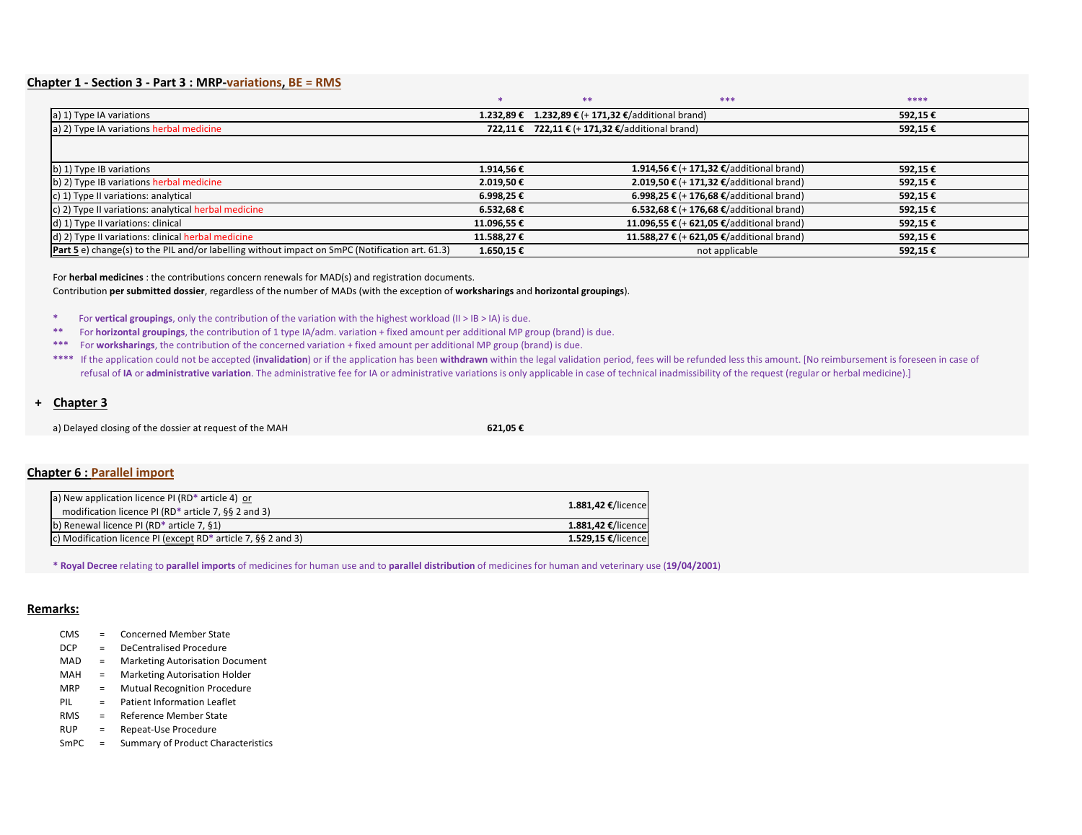# **Chapter 1 - Section 3 - Part 3 : MRP-variations, BE = RMS**

| apter I - Section S - Part S . MINP-Variations, DE – NIVIS                                             |                |                                                     |          |
|--------------------------------------------------------------------------------------------------------|----------------|-----------------------------------------------------|----------|
|                                                                                                        |                | $***$<br>***                                        | ****     |
| a) 1) Type IA variations                                                                               |                | 1.232,89 € 1.232,89 € (+ 171,32 €/additional brand) | 592,15 € |
| a) 2) Type IA variations herbal medicine                                                               |                | 722,11 € 722,11 € $(+ 171,32)$ €/additional brand)  | 592,15€  |
|                                                                                                        |                |                                                     |          |
| b) 1) Type IB variations                                                                               | 1.914,56€      | 1.914,56 € (+ 171,32 €/additional brand)            | 592,15 € |
| (b) 2) Type IB variations herbal medicine                                                              | 2.019,50€      | 2.019,50 € (+ 171,32 €/additional brand)            | 592,15€  |
| c) 1) Type II variations: analytical                                                                   | 6.998,25€      | 6.998,25 € (+ 176,68 €/additional brand)            | 592,15€  |
| $\vert$ c) 2) Type II variations: analytical herbal medicine                                           | $6.532,68 \in$ | 6.532,68 € (+ 176,68 €/additional brand)            | 592,15 € |
| d) 1) Type II variations: clinical                                                                     | 11.096,55 €    | 11.096,55 € (+ 621,05 €/additional brand)           | 592,15 € |
| d) 2) Type II variations: clinical herbal medicine                                                     | 11.588,27 €    | 11.588,27 € (+ 621,05 €/additional brand)           | 592,15€  |
| <b>Part 5</b> e) change(s) to the PIL and/or labelling without impact on SmPC (Notification art. 61.3) | 1.650,15€      | not applicable                                      | 592,15€  |

For **herbal medicines** : the contributions concern renewals for MAD(s) and registration documents. Contribution **per submitted dossier**, regardless of the number of MADs (with the exception of **worksharings** and **horizontal groupings**).

**\*** For **vertical groupings**, only the contribution of the variation with the highest workload (II > IB > IA) is due.

**\*\*** For **horizontal groupings**, the contribution of 1 type IA/adm. variation + fixed amount per additional MP group (brand) is due.

**\*\*\*** For **worksharings**, the contribution of the concerned variation + fixed amount per additional MP group (brand) is due.

\*\*\*\* If the application could not be accepted (invalidation) or if the application has been withdrawn within the legal validation period, fees will be refunded less this amount. [No reimbursement is foreseen in case of refusal of IA or administrative variation. The administrative fee for IA or administrative variations is only applicable in case of technical inadmissibility of the request (regular or herbal medicine).]

# **+ Chapter 3**

a) Delayed closing of the dossier at request of the MAH **621,05 €**

# **Chapter 6 : Parallel import**

**\* Royal Decree** relating to **parallel imports** of medicines for human use and to **parallel distribution** of medicines for human and veterinary use (**19/04/2001**)

### **Remarks:**

- CMS = Concerned Member State
- DCP = DeCentralised Procedure
- MAD = Marketing Autorisation Document
- MAH = Marketing Autorisation Holder
- MRP = Mutual Recognition Procedure
- PIL = Patient Information Leaflet
- RMS = Reference Member State
- RUP = Repeat-Use Procedure
- SmPC = Summary of Product Characteristics

| a) New application licence PI (RD* article 4) or<br>modification licence PI (RD <sup>*</sup> article 7, $\S$ § 2 and 3) |                       |
|-------------------------------------------------------------------------------------------------------------------------|-----------------------|
|                                                                                                                         |                       |
|                                                                                                                         | 1.881,42 $€/$ licence |
| b) Renewal licence PI (RD $*$ article 7, §1)                                                                            | 1.881,42 $€/$ licence |
| c) Modification licence PI (except RD* article 7, $\S$ § 2 and 3)                                                       | 1.529,15 $€/$ licence |